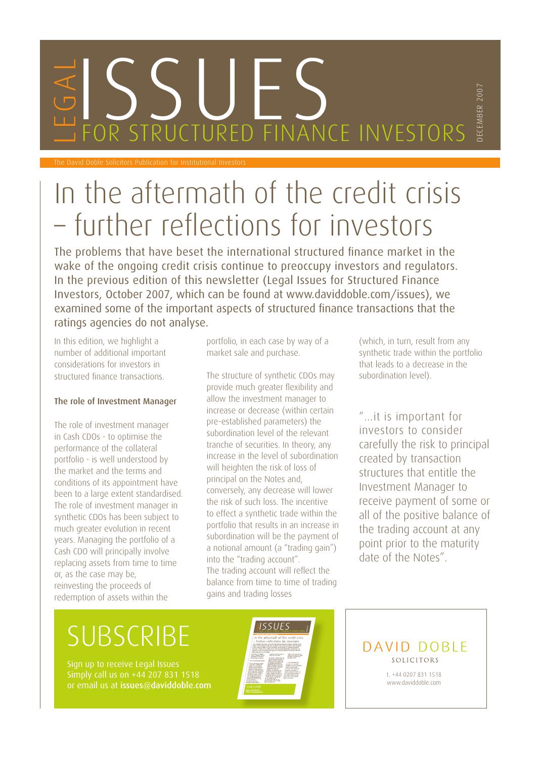# ES SULFS

The David Doble Solicitors Publication for Institutional Investors

## In the aftermath of the credit crisis – further reflections for investors

The problems that have beset the international structured finance market in the wake of the ongoing credit crisis continue to preoccupy investors and regulators. In the previous edition of this newsletter (Legal Issues for Structured Finance Investors, October 2007, which can be found at www.daviddoble.com/issues), we examined some of the important aspects of structured finance transactions that the ratings agencies do not analyse.

In this edition, we highlight a number of additional important considerations for investors in structured finance transactions.

#### The role of Investment Manager

The role of investment manager in Cash CDOs - to optimise the performance of the collateral portfolio - is well understood by the market and the terms and conditions of its appointment have been to a large extent standardised. The role of investment manager in synthetic CDOs has been subject to much greater evolution in recent years. Managing the portfolio of a Cash CDO will principally involve replacing assets from time to time or, as the case may be, reinvesting the proceeds of redemption of assets within the

portfolio, in each case by way of a market sale and purchase.

The structure of synthetic CDOs may provide much greater flexibility and allow the investment manager to increase or decrease (within certain pre-established parameters) the subordination level of the relevant tranche of securities. In theory, any increase in the level of subordination will heighten the risk of loss of principal on the Notes and, conversely, any decrease will lower the risk of such loss. The incentive to effect a synthetic trade within the portfolio that results in an increase in subordination will be the payment of a notional amount (a "trading gain") into the "trading account". The trading account will reflect the balance from time to time of trading gains and trading losses

(which, in turn, result from any synthetic trade within the portfolio that leads to a decrease in the subordination level).

DECEMBER 2007

ECEMBER 2007

"…it is important for investors to consider carefully the risk to principal created by transaction structures that entitle the Investment Manager to receive payment of some or all of the positive balance of the trading account at any point prior to the maturity date of the Notes".

### **SUBSCRIBE**

Sign up to receive Legal Issues Simply call us on +44 207 831 1518 or email us at [issues@daviddoble.com](Mailto:issues@daviddoble.com)